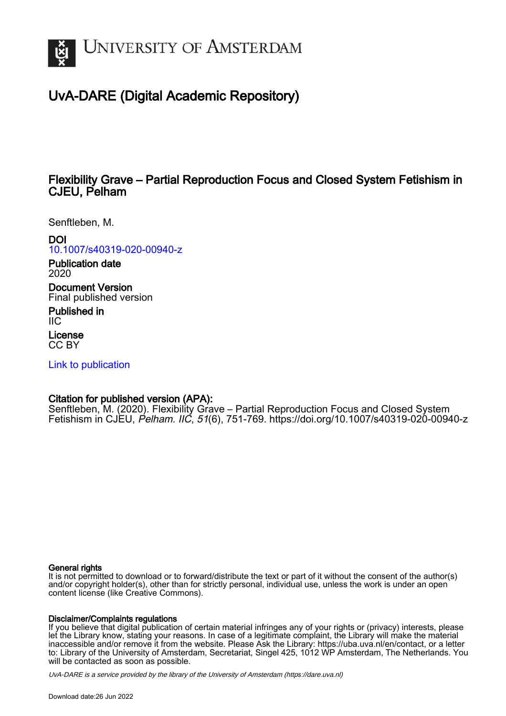

# UvA-DARE (Digital Academic Repository)

## Flexibility Grave – Partial Reproduction Focus and Closed System Fetishism in CJEU, Pelham

Senftleben, M.

DOI [10.1007/s40319-020-00940-z](https://doi.org/10.1007/s40319-020-00940-z) Publication date

2020 Document Version

Final published version

Published in IIC

License CC BY

[Link to publication](https://dare.uva.nl/personal/pure/en/publications/flexibility-grave--partial-reproduction-focus-and-closed-system-fetishism-in-cjeu-pelham(7482fe02-124f-472c-989b-8d76930f7ae7).html)

### Citation for published version (APA):

Senftleben, M. (2020). Flexibility Grave – Partial Reproduction Focus and Closed System Fetishism in CJEU, Pelham. IIC, 51(6), 751-769. <https://doi.org/10.1007/s40319-020-00940-z>

#### General rights

It is not permitted to download or to forward/distribute the text or part of it without the consent of the author(s) and/or copyright holder(s), other than for strictly personal, individual use, unless the work is under an open content license (like Creative Commons).

#### Disclaimer/Complaints regulations

If you believe that digital publication of certain material infringes any of your rights or (privacy) interests, please let the Library know, stating your reasons. In case of a legitimate complaint, the Library will make the material inaccessible and/or remove it from the website. Please Ask the Library: https://uba.uva.nl/en/contact, or a letter to: Library of the University of Amsterdam, Secretariat, Singel 425, 1012 WP Amsterdam, The Netherlands. You will be contacted as soon as possible.

UvA-DARE is a service provided by the library of the University of Amsterdam (http*s*://dare.uva.nl)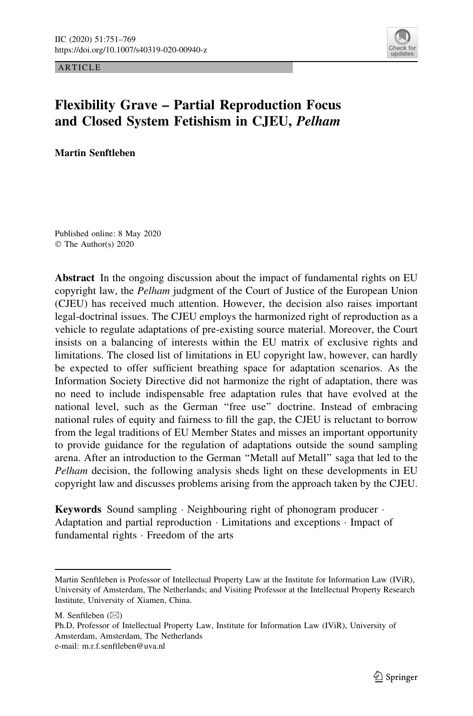ARTICLE



## Flexibility Grave – Partial Reproduction Focus and Closed System Fetishism in CJEU, Pelham

Martin Senftleben

Published online: 8 May 2020 © The Author(s) 2020

Abstract In the ongoing discussion about the impact of fundamental rights on EU copyright law, the Pelham judgment of the Court of Justice of the European Union (CJEU) has received much attention. However, the decision also raises important legal-doctrinal issues. The CJEU employs the harmonized right of reproduction as a vehicle to regulate adaptations of pre-existing source material. Moreover, the Court insists on a balancing of interests within the EU matrix of exclusive rights and limitations. The closed list of limitations in EU copyright law, however, can hardly be expected to offer sufficient breathing space for adaptation scenarios. As the Information Society Directive did not harmonize the right of adaptation, there was no need to include indispensable free adaptation rules that have evolved at the national level, such as the German ''free use'' doctrine. Instead of embracing national rules of equity and fairness to fill the gap, the CJEU is reluctant to borrow from the legal traditions of EU Member States and misses an important opportunity to provide guidance for the regulation of adaptations outside the sound sampling arena. After an introduction to the German ''Metall auf Metall'' saga that led to the Pelham decision, the following analysis sheds light on these developments in EU copyright law and discusses problems arising from the approach taken by the CJEU.

Keywords Sound sampling · Neighbouring right of phonogram producer · Adaptation and partial reproduction - Limitations and exceptions - Impact of fundamental rights - Freedom of the arts

Martin Senftleben is Professor of Intellectual Property Law at the Institute for Information Law (IViR), University of Amsterdam, The Netherlands; and Visiting Professor at the Intellectual Property Research Institute, University of Xiamen, China.

M. Senftleben  $(\boxtimes)$ 

Ph.D, Professor of Intellectual Property Law, Institute for Information Law (IViR), University of Amsterdam, Amsterdam, The Netherlands e-mail: m.r.f.senftleben@uva.nl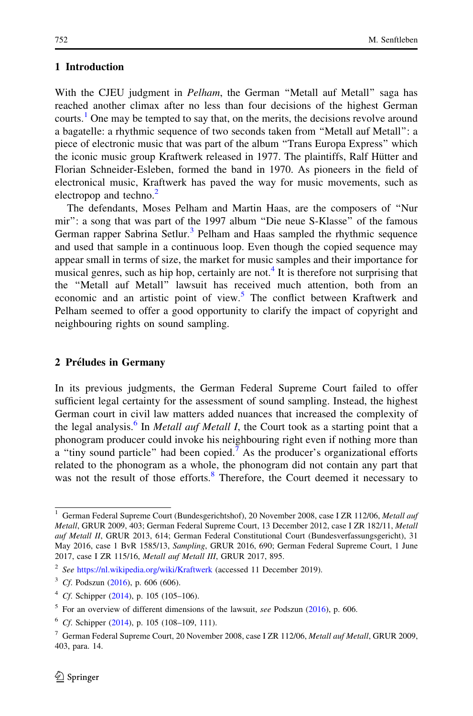#### 1 Introduction

With the CJEU judgment in *Pelham*, the German "Metall auf Metall" saga has reached another climax after no less than four decisions of the highest German courts.<sup>1</sup> One may be tempted to say that, on the merits, the decisions revolve around a bagatelle: a rhythmic sequence of two seconds taken from ''Metall auf Metall'': a piece of electronic music that was part of the album ''Trans Europa Express'' which the iconic music group Kraftwerk released in 1977. The plaintiffs, Ralf Hütter and Florian Schneider-Esleben, formed the band in 1970. As pioneers in the field of electronical music, Kraftwerk has paved the way for music movements, such as electropop and techno.<sup>2</sup>

The defendants, Moses Pelham and Martin Haas, are the composers of ''Nur mir'': a song that was part of the 1997 album ''Die neue S-Klasse'' of the famous German rapper Sabrina Setlur.<sup>3</sup> Pelham and Haas sampled the rhythmic sequence and used that sample in a continuous loop. Even though the copied sequence may appear small in terms of size, the market for music samples and their importance for musical genres, such as hip hop, certainly are not.<sup>4</sup> It is therefore not surprising that the ''Metall auf Metall'' lawsuit has received much attention, both from an economic and an artistic point of view.<sup>5</sup> The conflict between Kraftwerk and Pelham seemed to offer a good opportunity to clarify the impact of copyright and neighbouring rights on sound sampling.

#### 2 Préludes in Germany

In its previous judgments, the German Federal Supreme Court failed to offer sufficient legal certainty for the assessment of sound sampling. Instead, the highest German court in civil law matters added nuances that increased the complexity of the legal analysis.<sup>6</sup> In *Metall auf Metall I*, the Court took as a starting point that a phonogram producer could invoke his neighbouring right even if nothing more than a "tiny sound particle" had been copied.<sup>7</sup> As the producer's organizational efforts related to the phonogram as a whole, the phonogram did not contain any part that was not the result of those efforts.<sup>8</sup> Therefore, the Court deemed it necessary to

<sup>&</sup>lt;sup>1</sup> German Federal Supreme Court (Bundesgerichtshof), 20 November 2008, case I ZR 112/06, Metall auf Metall, GRUR 2009, 403; German Federal Supreme Court, 13 December 2012, case I ZR 182/11, Metall auf Metall II, GRUR 2013, 614; German Federal Constitutional Court (Bundesverfassungsgericht), 31 May 2016, case 1 BvR 1585/13, Sampling, GRUR 2016, 690; German Federal Supreme Court, 1 June 2017, case I ZR 115/16, Metall auf Metall III, GRUR 2017, 895.

<sup>&</sup>lt;sup>2</sup> See <https://nl.wikipedia.org/wiki/Kraftwerk> (accessed 11 December 2019).

 $3$  Cf. Podszun [\(2016](#page-18-0)), p. 606 (606).

<sup>4</sup> Cf. Schipper ([2014\)](#page-18-0), p. 105 (105–106).

 $5$  For an overview of different dimensions of the lawsuit, see Podszun ([2016\)](#page-18-0), p. 606.

 $6$  Cf. Schipper ([2014\)](#page-18-0), p. 105 (108–109, 111).

<sup>7</sup> German Federal Supreme Court, 20 November 2008, case I ZR 112/06, Metall auf Metall, GRUR 2009, 403, para. 14.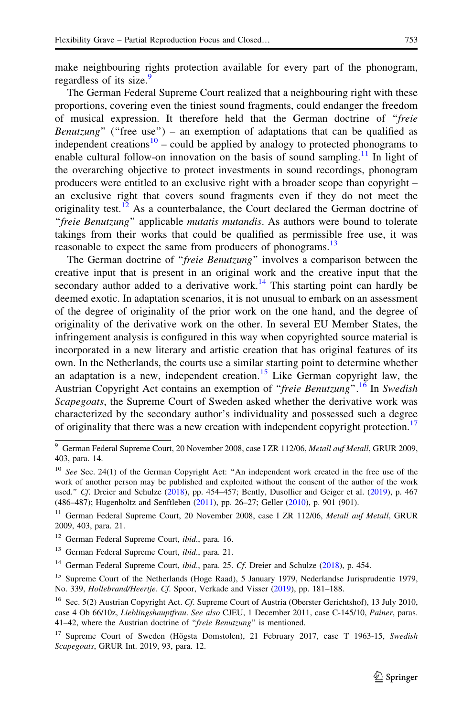make neighbouring rights protection available for every part of the phonogram, regardless of its size.<sup>9</sup>

The German Federal Supreme Court realized that a neighbouring right with these proportions, covering even the tiniest sound fragments, could endanger the freedom of musical expression. It therefore held that the German doctrine of ''freie Benutzung" ("free use") – an exemption of adaptations that can be qualified as independent creations<sup>10</sup> – could be applied by analogy to protected phonograms to enable cultural follow-on innovation on the basis of sound sampling.<sup>11</sup> In light of the overarching objective to protect investments in sound recordings, phonogram producers were entitled to an exclusive right with a broader scope than copyright – an exclusive right that covers sound fragments even if they do not meet the originality test.<sup>12</sup> As a counterbalance, the Court declared the German doctrine of ''freie Benutzung'' applicable mutatis mutandis. As authors were bound to tolerate takings from their works that could be qualified as permissible free use, it was reasonable to expect the same from producers of phonograms.<sup>13</sup>

The German doctrine of "*freie Benutzung*" involves a comparison between the creative input that is present in an original work and the creative input that the secondary author added to a derivative work.<sup>14</sup> This starting point can hardly be deemed exotic. In adaptation scenarios, it is not unusual to embark on an assessment of the degree of originality of the prior work on the one hand, and the degree of originality of the derivative work on the other. In several EU Member States, the infringement analysis is configured in this way when copyrighted source material is incorporated in a new literary and artistic creation that has original features of its own. In the Netherlands, the courts use a similar starting point to determine whether an adaptation is a new, independent creation.<sup>15</sup> Like German copyright law, the Austrian Copyright Act contains an exemption of "freie Benutzung".<sup>16</sup> In Swedish Scapegoats, the Supreme Court of Sweden asked whether the derivative work was characterized by the secondary author's individuality and possessed such a degree of originality that there was a new creation with independent copyright protection.<sup>17</sup>

<sup>&</sup>lt;sup>9</sup> German Federal Supreme Court, 20 November 2008, case I ZR 112/06, Metall auf Metall, GRUR 2009, 403, para. 14.

<sup>&</sup>lt;sup>10</sup> See Sec. 24(1) of the German Copyright Act: "An independent work created in the free use of the work of another person may be published and exploited without the consent of the author of the work used." Cf. Dreier and Schulze ([2018](#page-18-0)), pp. 454-457; Bently, Dusollier and Geiger et al. [\(2019](#page-17-0)), p. 467 (486–487); Hugenholtz and Senftleben [\(2011](#page-18-0)), pp. 26–27; Geller [\(2010](#page-18-0)), p. 901 (901).

<sup>&</sup>lt;sup>11</sup> German Federal Supreme Court, 20 November 2008, case I ZR 112/06, Metall auf Metall, GRUR 2009, 403, para. 21.

<sup>&</sup>lt;sup>12</sup> German Federal Supreme Court, *ibid.*, para. 16.

<sup>&</sup>lt;sup>13</sup> German Federal Supreme Court, *ibid.*, para. 21.

<sup>&</sup>lt;sup>14</sup> German Federal Supreme Court, *ibid.*, para. 25. Cf. Dreier and Schulze ([2018](#page-18-0)), p. 454.

<sup>&</sup>lt;sup>15</sup> Supreme Court of the Netherlands (Hoge Raad), 5 January 1979, Nederlandse Jurisprudentie 1979, No. 339, Hollebrand/Heertje. Cf. Spoor, Verkade and Visser ([2019](#page-19-0)), pp. 181-188.

<sup>&</sup>lt;sup>16</sup> Sec. 5(2) Austrian Copyright Act. Cf. Supreme Court of Austria (Oberster Gerichtshof), 13 July 2010, case 4 Ob 66/10z, Lieblingshauptfrau. See also CJEU, 1 December 2011, case C-145/10, Painer, paras. 41–42, where the Austrian doctrine of "freie Benutzung" is mentioned.

<sup>&</sup>lt;sup>17</sup> Supreme Court of Sweden (Högsta Domstolen), 21 February 2017, case T 1963-15, Swedish Scapegoats, GRUR Int. 2019, 93, para. 12.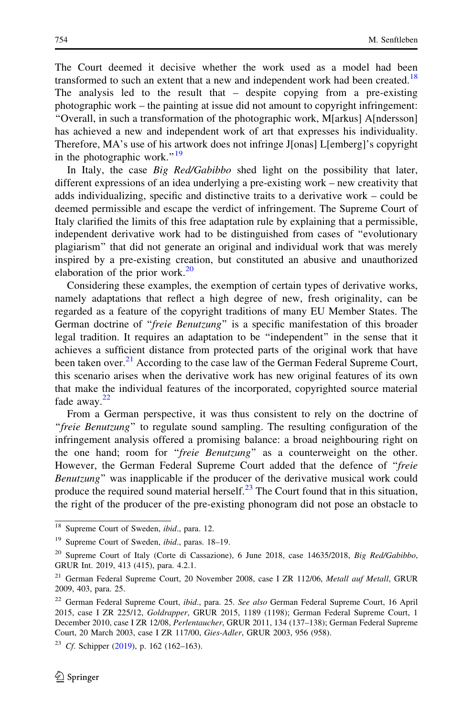The Court deemed it decisive whether the work used as a model had been transformed to such an extent that a new and independent work had been created.<sup>18</sup> The analysis led to the result that – despite copying from a pre-existing photographic work – the painting at issue did not amount to copyright infringement: ''Overall, in such a transformation of the photographic work, M[arkus] A[ndersson] has achieved a new and independent work of art that expresses his individuality. Therefore, MA's use of his artwork does not infringe J[onas] L[emberg]'s copyright in the photographic work." $19$ 

In Italy, the case *Big Red/Gabibbo* shed light on the possibility that later, different expressions of an idea underlying a pre-existing work – new creativity that adds individualizing, specific and distinctive traits to a derivative work – could be deemed permissible and escape the verdict of infringement. The Supreme Court of Italy clarified the limits of this free adaptation rule by explaining that a permissible, independent derivative work had to be distinguished from cases of ''evolutionary plagiarism'' that did not generate an original and individual work that was merely inspired by a pre-existing creation, but constituted an abusive and unauthorized elaboration of the prior work. $20$ 

Considering these examples, the exemption of certain types of derivative works, namely adaptations that reflect a high degree of new, fresh originality, can be regarded as a feature of the copyright traditions of many EU Member States. The German doctrine of "freie Benutzung" is a specific manifestation of this broader legal tradition. It requires an adaptation to be ''independent'' in the sense that it achieves a sufficient distance from protected parts of the original work that have been taken over.<sup>21</sup> According to the case law of the German Federal Supreme Court, this scenario arises when the derivative work has new original features of its own that make the individual features of the incorporated, copyrighted source material fade away. $22$ 

From a German perspective, it was thus consistent to rely on the doctrine of "freie Benutzung" to regulate sound sampling. The resulting configuration of the infringement analysis offered a promising balance: a broad neighbouring right on the one hand; room for "freie Benutzung" as a counterweight on the other. However, the German Federal Supreme Court added that the defence of "freie Benutzung'' was inapplicable if the producer of the derivative musical work could produce the required sound material herself. $^{23}$  The Court found that in this situation, the right of the producer of the pre-existing phonogram did not pose an obstacle to

<sup>&</sup>lt;sup>18</sup> Supreme Court of Sweden, ibid., para. 12.

<sup>&</sup>lt;sup>19</sup> Supreme Court of Sweden, *ibid.*, paras. 18-19.

<sup>&</sup>lt;sup>20</sup> Supreme Court of Italy (Corte di Cassazione), 6 June 2018, case 14635/2018, Big Red/Gabibbo, GRUR Int. 2019, 413 (415), para. 4.2.1.

 $21$  German Federal Supreme Court, 20 November 2008, case I ZR 112/06, Metall auf Metall, GRUR 2009, 403, para. 25.

<sup>&</sup>lt;sup>22</sup> German Federal Supreme Court, ibid., para. 25. See also German Federal Supreme Court, 16 April 2015, case I ZR 225/12, Goldrapper, GRUR 2015, 1189 (1198); German Federal Supreme Court, 1 December 2010, case I ZR 12/08, Perlentaucher, GRUR 2011, 134 (137–138); German Federal Supreme Court, 20 March 2003, case I ZR 117/00, Gies-Adler, GRUR 2003, 956 (958).

<sup>&</sup>lt;sup>23</sup> Cf. Schipper ([2019\)](#page-18-0), p. 162 (162–163).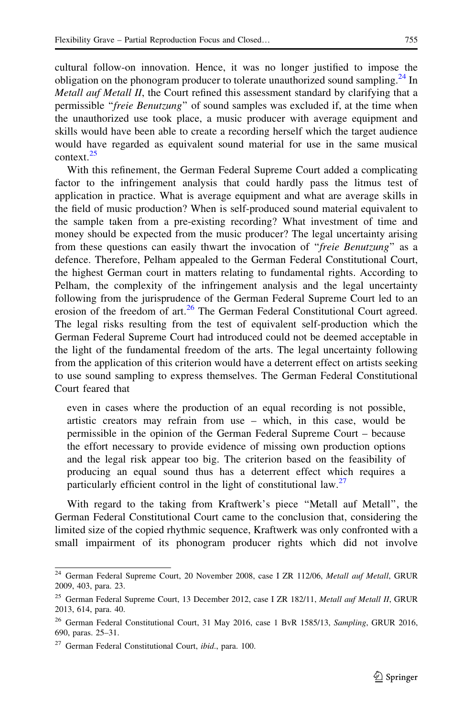cultural follow-on innovation. Hence, it was no longer justified to impose the obligation on the phonogram producer to tolerate unauthorized sound sampling.<sup>24</sup> In Metall auf Metall II, the Court refined this assessment standard by clarifying that a permissible "freie Benutzung" of sound samples was excluded if, at the time when the unauthorized use took place, a music producer with average equipment and skills would have been able to create a recording herself which the target audience would have regarded as equivalent sound material for use in the same musical context $^{25}$ 

With this refinement, the German Federal Supreme Court added a complicating factor to the infringement analysis that could hardly pass the litmus test of application in practice. What is average equipment and what are average skills in the field of music production? When is self-produced sound material equivalent to the sample taken from a pre-existing recording? What investment of time and money should be expected from the music producer? The legal uncertainty arising from these questions can easily thwart the invocation of "freie Benutzung" as a defence. Therefore, Pelham appealed to the German Federal Constitutional Court, the highest German court in matters relating to fundamental rights. According to Pelham, the complexity of the infringement analysis and the legal uncertainty following from the jurisprudence of the German Federal Supreme Court led to an erosion of the freedom of art. $^{26}$  The German Federal Constitutional Court agreed. The legal risks resulting from the test of equivalent self-production which the German Federal Supreme Court had introduced could not be deemed acceptable in the light of the fundamental freedom of the arts. The legal uncertainty following from the application of this criterion would have a deterrent effect on artists seeking to use sound sampling to express themselves. The German Federal Constitutional Court feared that

even in cases where the production of an equal recording is not possible, artistic creators may refrain from use – which, in this case, would be permissible in the opinion of the German Federal Supreme Court – because the effort necessary to provide evidence of missing own production options and the legal risk appear too big. The criterion based on the feasibility of producing an equal sound thus has a deterrent effect which requires a particularly efficient control in the light of constitutional law. $27$ 

With regard to the taking from Kraftwerk's piece ''Metall auf Metall'', the German Federal Constitutional Court came to the conclusion that, considering the limited size of the copied rhythmic sequence, Kraftwerk was only confronted with a small impairment of its phonogram producer rights which did not involve

<sup>&</sup>lt;sup>24</sup> German Federal Supreme Court, 20 November 2008, case I ZR 112/06, Metall auf Metall, GRUR 2009, 403, para. 23.

<sup>&</sup>lt;sup>25</sup> German Federal Supreme Court, 13 December 2012, case I ZR 182/11, Metall auf Metall II, GRUR 2013, 614, para. 40.

<sup>&</sup>lt;sup>26</sup> German Federal Constitutional Court, 31 May 2016, case 1 BvR 1585/13, Sampling, GRUR 2016, 690, paras. 25–31.

<sup>&</sup>lt;sup>27</sup> German Federal Constitutional Court, *ibid.*, para. 100.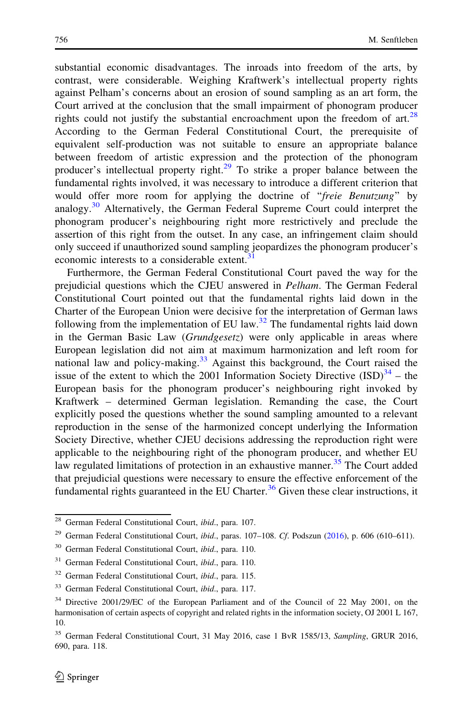substantial economic disadvantages. The inroads into freedom of the arts, by contrast, were considerable. Weighing Kraftwerk's intellectual property rights against Pelham's concerns about an erosion of sound sampling as an art form, the Court arrived at the conclusion that the small impairment of phonogram producer rights could not justify the substantial encroachment upon the freedom of art. $^{28}$ According to the German Federal Constitutional Court, the prerequisite of equivalent self-production was not suitable to ensure an appropriate balance between freedom of artistic expression and the protection of the phonogram producer's intellectual property right.<sup>29</sup> To strike a proper balance between the fundamental rights involved, it was necessary to introduce a different criterion that would offer more room for applying the doctrine of "freie Benutzung" by analogy.<sup>30</sup> Alternatively, the German Federal Supreme Court could interpret the phonogram producer's neighbouring right more restrictively and preclude the assertion of this right from the outset. In any case, an infringement claim should only succeed if unauthorized sound sampling jeopardizes the phonogram producer's economic interests to a considerable extent.<sup>31</sup>

Furthermore, the German Federal Constitutional Court paved the way for the prejudicial questions which the CJEU answered in Pelham. The German Federal Constitutional Court pointed out that the fundamental rights laid down in the Charter of the European Union were decisive for the interpretation of German laws following from the implementation of EU law. $32$  The fundamental rights laid down in the German Basic Law (Grundgesetz) were only applicable in areas where European legislation did not aim at maximum harmonization and left room for national law and policy-making. $33$  Against this background, the Court raised the issue of the extent to which the 2001 Information Society Directive  $(ISD)^{34}$  – the European basis for the phonogram producer's neighbouring right invoked by Kraftwerk – determined German legislation. Remanding the case, the Court explicitly posed the questions whether the sound sampling amounted to a relevant reproduction in the sense of the harmonized concept underlying the Information Society Directive, whether CJEU decisions addressing the reproduction right were applicable to the neighbouring right of the phonogram producer, and whether EU law regulated limitations of protection in an exhaustive manner.<sup>35</sup> The Court added that prejudicial questions were necessary to ensure the effective enforcement of the fundamental rights guaranteed in the EU Charter.<sup>36</sup> Given these clear instructions, it

<sup>&</sup>lt;sup>28</sup> German Federal Constitutional Court, *ibid.*, para. 107.

<sup>&</sup>lt;sup>29</sup> German Federal Constitutional Court, ibid., paras. 107-108. Cf. Podszun ([2016\)](#page-18-0), p. 606 (610-611).

<sup>&</sup>lt;sup>30</sup> German Federal Constitutional Court, *ibid.*, para. 110.

 $31$  German Federal Constitutional Court, *ibid.*, para. 110.

<sup>32</sup> German Federal Constitutional Court, ibid., para. 115.

<sup>&</sup>lt;sup>33</sup> German Federal Constitutional Court, ibid., para. 117.

<sup>34</sup> Directive 2001/29/EC of the European Parliament and of the Council of 22 May 2001, on the harmonisation of certain aspects of copyright and related rights in the information society, OJ 2001 L 167, 10.

<sup>35</sup> German Federal Constitutional Court, 31 May 2016, case 1 BvR 1585/13, Sampling, GRUR 2016, 690, para. 118.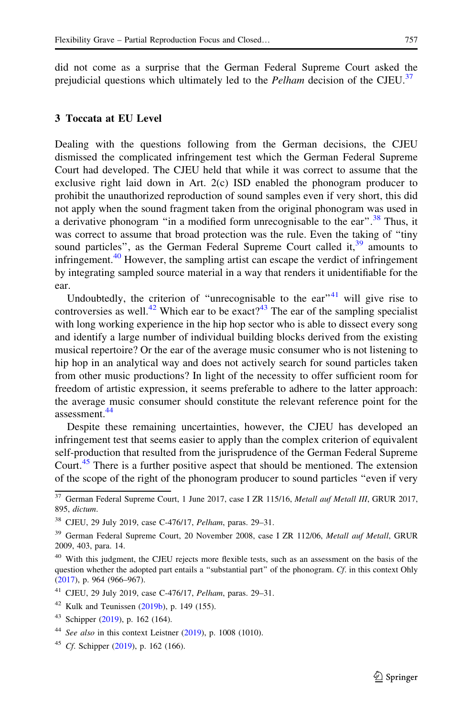did not come as a surprise that the German Federal Supreme Court asked the prejudicial questions which ultimately led to the *Pelham* decision of the CJEU.<sup>37</sup>

#### 3 Toccata at EU Level

Dealing with the questions following from the German decisions, the CJEU dismissed the complicated infringement test which the German Federal Supreme Court had developed. The CJEU held that while it was correct to assume that the exclusive right laid down in Art. 2(c) ISD enabled the phonogram producer to prohibit the unauthorized reproduction of sound samples even if very short, this did not apply when the sound fragment taken from the original phonogram was used in a derivative phonogram "in a modified form unrecognisable to the ear".<sup>38</sup> Thus, it was correct to assume that broad protection was the rule. Even the taking of "tiny" sound particles", as the German Federal Supreme Court called it,  $39$  amounts to infringement.<sup>40</sup> However, the sampling artist can escape the verdict of infringement by integrating sampled source material in a way that renders it unidentifiable for the ear.

Undoubtedly, the criterion of "unrecognisable to the ear" $41$  will give rise to controversies as well.<sup>42</sup> Which ear to be exact?<sup>43</sup> The ear of the sampling specialist with long working experience in the hip hop sector who is able to dissect every song and identify a large number of individual building blocks derived from the existing musical repertoire? Or the ear of the average music consumer who is not listening to hip hop in an analytical way and does not actively search for sound particles taken from other music productions? In light of the necessity to offer sufficient room for freedom of artistic expression, it seems preferable to adhere to the latter approach: the average music consumer should constitute the relevant reference point for the assessment.<sup>44</sup>

Despite these remaining uncertainties, however, the CJEU has developed an infringement test that seems easier to apply than the complex criterion of equivalent self-production that resulted from the jurisprudence of the German Federal Supreme Court.<sup>45</sup> There is a further positive aspect that should be mentioned. The extension of the scope of the right of the phonogram producer to sound particles ''even if very

<sup>&</sup>lt;sup>37</sup> German Federal Supreme Court, 1 June 2017, case I ZR 115/16, Metall auf Metall III, GRUR 2017, 895, dictum.

<sup>38</sup> CJEU, 29 July 2019, case C-476/17, Pelham, paras. 29–31.

<sup>&</sup>lt;sup>39</sup> German Federal Supreme Court, 20 November 2008, case I ZR 112/06, Metall auf Metall, GRUR 2009, 403, para. 14.

<sup>&</sup>lt;sup>40</sup> With this judgment, the CJEU rejects more flexible tests, such as an assessment on the basis of the question whether the adopted part entails a "substantial part" of the phonogram. Cf. in this context Ohly ([2017\)](#page-18-0), p. 964 (966–967).

<sup>41</sup> CJEU, 29 July 2019, case C-476/17, Pelham, paras. 29–31.

 $42$  Kulk and Teunissen [\(2019b](#page-18-0)), p. 149 (155).

 $43$  Schipper ([2019](#page-18-0)), p. 162 (164).

 $44$  See also in this context Leistner [\(2019](#page-18-0)), p. 1008 (1010).

<sup>&</sup>lt;sup>45</sup> *Cf.* Schipper  $(2019)$  $(2019)$ , p. 162  $(166)$ .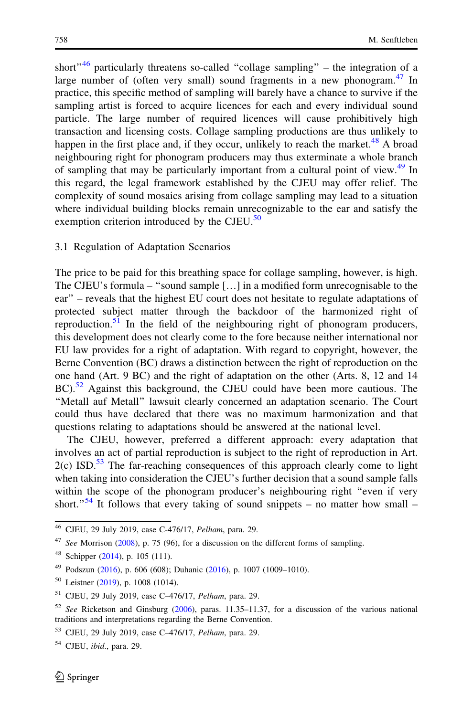short" $46$  particularly threatens so-called "collage sampling" – the integration of a large number of (often very small) sound fragments in a new phonogram. $47$  In practice, this specific method of sampling will barely have a chance to survive if the sampling artist is forced to acquire licences for each and every individual sound particle. The large number of required licences will cause prohibitively high transaction and licensing costs. Collage sampling productions are thus unlikely to happen in the first place and, if they occur, unlikely to reach the market.<sup>48</sup> A broad neighbouring right for phonogram producers may thus exterminate a whole branch of sampling that may be particularly important from a cultural point of view.<sup>49</sup> In this regard, the legal framework established by the CJEU may offer relief. The complexity of sound mosaics arising from collage sampling may lead to a situation where individual building blocks remain unrecognizable to the ear and satisfy the exemption criterion introduced by the CJEU.<sup>50</sup>

#### 3.1 Regulation of Adaptation Scenarios

The price to be paid for this breathing space for collage sampling, however, is high. The CJEU's formula – ''sound sample […] in a modified form unrecognisable to the ear'' – reveals that the highest EU court does not hesitate to regulate adaptations of protected subject matter through the backdoor of the harmonized right of reproduction. $51$  In the field of the neighbouring right of phonogram producers, this development does not clearly come to the fore because neither international nor EU law provides for a right of adaptation. With regard to copyright, however, the Berne Convention (BC) draws a distinction between the right of reproduction on the one hand (Art. 9 BC) and the right of adaptation on the other (Arts. 8, 12 and 14 BC).<sup>52</sup> Against this background, the CJEU could have been more cautious. The ''Metall auf Metall'' lawsuit clearly concerned an adaptation scenario. The Court could thus have declared that there was no maximum harmonization and that questions relating to adaptations should be answered at the national level.

The CJEU, however, preferred a different approach: every adaptation that involves an act of partial reproduction is subject to the right of reproduction in Art.  $2(c)$  ISD.<sup>53</sup> The far-reaching consequences of this approach clearly come to light when taking into consideration the CJEU's further decision that a sound sample falls within the scope of the phonogram producer's neighbouring right "even if very short."<sup>54</sup> It follows that every taking of sound snippets – no matter how small –

<sup>46</sup> CJEU, 29 July 2019, case C-476/17, Pelham, para. 29.

 $47$  See Morrison ([2008](#page-18-0)), p. 75 (96), for a discussion on the different forms of sampling.

<sup>48</sup> Schipper ([2014](#page-18-0)), p. 105 (111).

<sup>49</sup> Podszun [\(2016](#page-18-0)), p. 606 (608); Duhanic ([2016\)](#page-18-0), p. 1007 (1009–1010).

<sup>50</sup> Leistner [\(2019](#page-18-0)), p. 1008 (1014).

<sup>51</sup> CJEU, 29 July 2019, case C–476/17, Pelham, para. 29.

<sup>52</sup> See Ricketson and Ginsburg [\(2006](#page-18-0)), paras. 11.35–11.37, for a discussion of the various national traditions and interpretations regarding the Berne Convention.

<sup>53</sup> CJEU, 29 July 2019, case C–476/17, Pelham, para. 29.

 $54$  CJEU, *ibid.*, para. 29.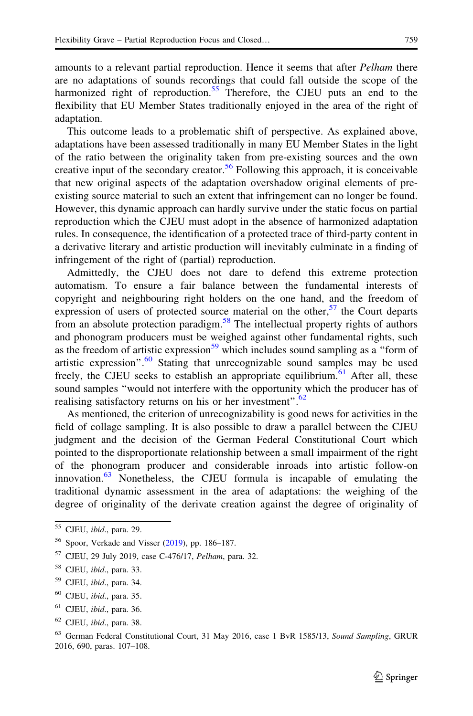amounts to a relevant partial reproduction. Hence it seems that after *Pelham* there are no adaptations of sounds recordings that could fall outside the scope of the harmonized right of reproduction.<sup>55</sup> Therefore, the CJEU puts an end to the flexibility that EU Member States traditionally enjoyed in the area of the right of adaptation.

This outcome leads to a problematic shift of perspective. As explained above, adaptations have been assessed traditionally in many EU Member States in the light of the ratio between the originality taken from pre-existing sources and the own creative input of the secondary creator.<sup>56</sup> Following this approach, it is conceivable that new original aspects of the adaptation overshadow original elements of preexisting source material to such an extent that infringement can no longer be found. However, this dynamic approach can hardly survive under the static focus on partial reproduction which the CJEU must adopt in the absence of harmonized adaptation rules. In consequence, the identification of a protected trace of third-party content in a derivative literary and artistic production will inevitably culminate in a finding of infringement of the right of (partial) reproduction.

Admittedly, the CJEU does not dare to defend this extreme protection automatism. To ensure a fair balance between the fundamental interests of copyright and neighbouring right holders on the one hand, and the freedom of expression of users of protected source material on the other,  $57$  the Court departs from an absolute protection paradigm.<sup>58</sup> The intellectual property rights of authors and phonogram producers must be weighed against other fundamental rights, such as the freedom of artistic expression<sup>59</sup> which includes sound sampling as a "form of artistic expression". $60$  Stating that unrecognizable sound samples may be used freely, the CJEU seeks to establish an appropriate equilibrium.<sup>61</sup> After all, these sound samples ''would not interfere with the opportunity which the producer has of realising satisfactory returns on his or her investment".<sup>62</sup>

As mentioned, the criterion of unrecognizability is good news for activities in the field of collage sampling. It is also possible to draw a parallel between the CJEU judgment and the decision of the German Federal Constitutional Court which pointed to the disproportionate relationship between a small impairment of the right of the phonogram producer and considerable inroads into artistic follow-on innovation. $63$  Nonetheless, the CJEU formula is incapable of emulating the traditional dynamic assessment in the area of adaptations: the weighing of the degree of originality of the derivate creation against the degree of originality of

<sup>55</sup> CJEU, ibid., para. 29.

<sup>56</sup> Spoor, Verkade and Visser ([2019\)](#page-19-0), pp. 186–187.

<sup>57</sup> CJEU, 29 July 2019, case C-476/17, Pelham, para. 32.

<sup>58</sup> CJEU, ibid., para. 33.

 $59$  CJEU, *ibid.*, para. 34.

 $60$  CJEU, *ibid.*, para. 35.

 $61$  CJEU, *ibid.*, para. 36.

<sup>62</sup> CJEU, ibid., para. 38.

<sup>&</sup>lt;sup>63</sup> German Federal Constitutional Court, 31 May 2016, case 1 BvR 1585/13, Sound Sampling, GRUR 2016, 690, paras. 107–108.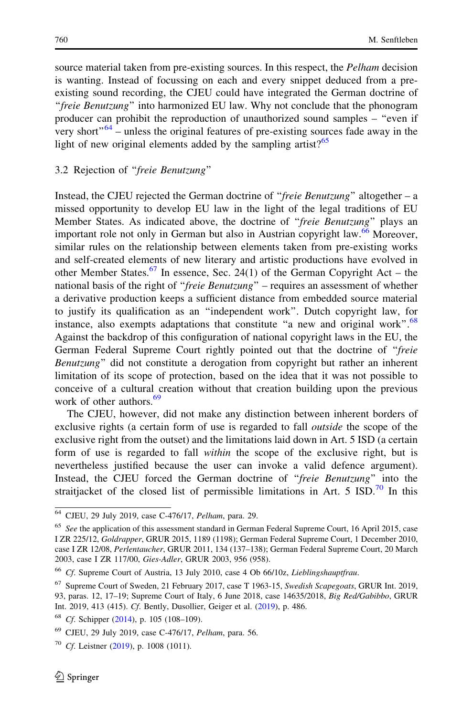source material taken from pre-existing sources. In this respect, the *Pelham* decision is wanting. Instead of focussing on each and every snippet deduced from a preexisting sound recording, the CJEU could have integrated the German doctrine of ''freie Benutzung'' into harmonized EU law. Why not conclude that the phonogram producer can prohibit the reproduction of unauthorized sound samples – ''even if very short"<sup>64</sup> – unless the original features of pre-existing sources fade away in the light of new original elements added by the sampling artist? $65$ 

#### 3.2 Rejection of ''freie Benutzung''

Instead, the CJEU rejected the German doctrine of "*freie Benutzung*" altogether – a missed opportunity to develop EU law in the light of the legal traditions of EU Member States. As indicated above, the doctrine of "freie Benutzung" plays an important role not only in German but also in Austrian copyright law.<sup>66</sup> Moreover, similar rules on the relationship between elements taken from pre-existing works and self-created elements of new literary and artistic productions have evolved in other Member States.<sup>67</sup> In essence, Sec. 24(1) of the German Copyright Act – the national basis of the right of ''freie Benutzung'' – requires an assessment of whether a derivative production keeps a sufficient distance from embedded source material to justify its qualification as an ''independent work''. Dutch copyright law, for instance, also exempts adaptations that constitute "a new and original work".<sup>68</sup> Against the backdrop of this configuration of national copyright laws in the EU, the German Federal Supreme Court rightly pointed out that the doctrine of "freie Benutzung'' did not constitute a derogation from copyright but rather an inherent limitation of its scope of protection, based on the idea that it was not possible to conceive of a cultural creation without that creation building upon the previous work of other authors.<sup>69</sup>

The CJEU, however, did not make any distinction between inherent borders of exclusive rights (a certain form of use is regarded to fall *outside* the scope of the exclusive right from the outset) and the limitations laid down in Art. 5 ISD (a certain form of use is regarded to fall within the scope of the exclusive right, but is nevertheless justified because the user can invoke a valid defence argument). Instead, the CJEU forced the German doctrine of "freie Benutzung" into the straitjacket of the closed list of permissible limitations in Art. 5  $\text{ISD}^{70}$  In this

<sup>64</sup> CJEU, 29 July 2019, case C-476/17, Pelham, para. 29.

<sup>&</sup>lt;sup>65</sup> See the application of this assessment standard in German Federal Supreme Court, 16 April 2015, case I ZR 225/12, Goldrapper, GRUR 2015, 1189 (1198); German Federal Supreme Court, 1 December 2010, case I ZR 12/08, Perlentaucher, GRUR 2011, 134 (137–138); German Federal Supreme Court, 20 March 2003, case I ZR 117/00, Gies-Adler, GRUR 2003, 956 (958).

<sup>&</sup>lt;sup>66</sup> Cf. Supreme Court of Austria, 13 July 2010, case 4 Ob 66/10z, Lieblingshauptfrau.

<sup>67</sup> Supreme Court of Sweden, 21 February 2017, case T 1963-15, Swedish Scapegoats, GRUR Int. 2019, 93, paras. 12, 17–19; Supreme Court of Italy, 6 June 2018, case 14635/2018, Big Red/Gabibbo, GRUR Int. 2019, 413 (415). Cf. Bently, Dusollier, Geiger et al. ([2019\)](#page-17-0), p. 486.

<sup>68</sup> Cf. Schipper ([2014\)](#page-18-0), p. 105 (108–109).

 $69$  CJEU, 29 July 2019, case C-476/17, *Pelham*, para. 56.

 $70$  Cf. Leistner ([2019](#page-18-0)), p. 1008 (1011).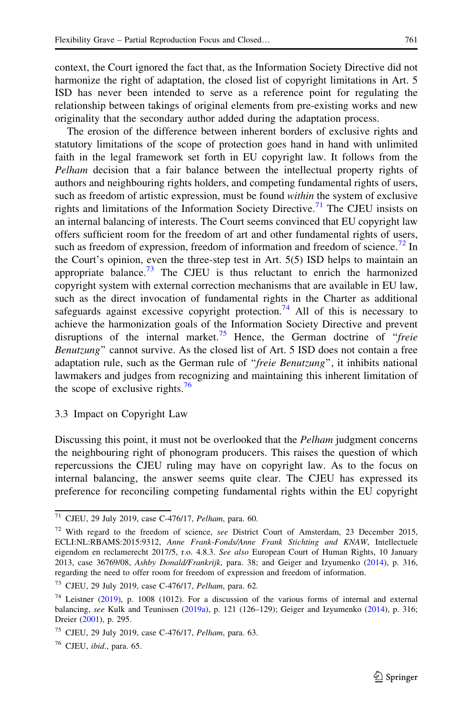context, the Court ignored the fact that, as the Information Society Directive did not harmonize the right of adaptation, the closed list of copyright limitations in Art. 5 ISD has never been intended to serve as a reference point for regulating the relationship between takings of original elements from pre-existing works and new originality that the secondary author added during the adaptation process.

The erosion of the difference between inherent borders of exclusive rights and statutory limitations of the scope of protection goes hand in hand with unlimited faith in the legal framework set forth in EU copyright law. It follows from the Pelham decision that a fair balance between the intellectual property rights of authors and neighbouring rights holders, and competing fundamental rights of users, such as freedom of artistic expression, must be found *within* the system of exclusive rights and limitations of the Information Society Directive.<sup>71</sup> The CJEU insists on an internal balancing of interests. The Court seems convinced that EU copyright law offers sufficient room for the freedom of art and other fundamental rights of users, such as freedom of expression, freedom of information and freedom of science.<sup>72</sup> In the Court's opinion, even the three-step test in Art. 5(5) ISD helps to maintain an appropriate balance.<sup>73</sup> The CJEU is thus reluctant to enrich the harmonized copyright system with external correction mechanisms that are available in EU law, such as the direct invocation of fundamental rights in the Charter as additional safeguards against excessive copyright protection.<sup>74</sup> All of this is necessary to achieve the harmonization goals of the Information Society Directive and prevent disruptions of the internal market.<sup>75</sup> Hence, the German doctrine of "*freie* Benutzung'' cannot survive. As the closed list of Art. 5 ISD does not contain a free adaptation rule, such as the German rule of "freie Benutzung", it inhibits national lawmakers and judges from recognizing and maintaining this inherent limitation of the scope of exclusive rights.<sup>76</sup>

3.3 Impact on Copyright Law

Discussing this point, it must not be overlooked that the *Pelham* judgment concerns the neighbouring right of phonogram producers. This raises the question of which repercussions the CJEU ruling may have on copyright law. As to the focus on internal balancing, the answer seems quite clear. The CJEU has expressed its preference for reconciling competing fundamental rights within the EU copyright

<sup>71</sup> CJEU, 29 July 2019, case C-476/17, Pelham, para. 60.

<sup>&</sup>lt;sup>72</sup> With regard to the freedom of science, see District Court of Amsterdam, 23 December 2015, ECLI:NL:RBAMS:2015:9312, Anne Frank-Fonds/Anne Frank Stichting and KNAW, Intellectuele eigendom en reclamerecht 2017/5, r.o. 4.8.3. See also European Court of Human Rights, 10 January 2013, case 36769/08, Ashby Donald/Frankrijk, para. 38; and Geiger and Izyumenko ([2014\)](#page-18-0), p. 316, regarding the need to offer room for freedom of expression and freedom of information.

<sup>73</sup> CJEU, 29 July 2019, case C-476/17, Pelham, para. 62.

<sup>74</sup> Leistner ([2019\)](#page-18-0), p. 1008 (1012). For a discussion of the various forms of internal and external balancing, see Kulk and Teunissen ([2019a](#page-18-0)), p. 121 (126–129); Geiger and Izyumenko ([2014\)](#page-18-0), p. 316; Dreier ([2001\)](#page-18-0), p. 295.

<sup>&</sup>lt;sup>75</sup> CJEU, 29 July 2019, case C-476/17, *Pelham*, para. 63.

 $76$  CJEU, ibid., para. 65.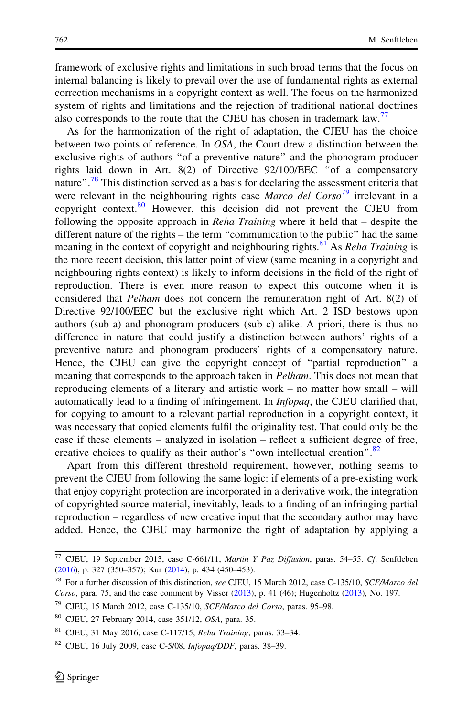framework of exclusive rights and limitations in such broad terms that the focus on internal balancing is likely to prevail over the use of fundamental rights as external correction mechanisms in a copyright context as well. The focus on the harmonized system of rights and limitations and the rejection of traditional national doctrines also corresponds to the route that the CJEU has chosen in trademark law.<sup>77</sup>

As for the harmonization of the right of adaptation, the CJEU has the choice between two points of reference. In OSA, the Court drew a distinction between the exclusive rights of authors ''of a preventive nature'' and the phonogram producer rights laid down in Art. 8(2) of Directive 92/100/EEC ''of a compensatory nature".<sup>78</sup> This distinction served as a basis for declaring the assessment criteria that were relevant in the neighbouring rights case *Marco del Corso*<sup>79</sup> irrelevant in a copyright context. $80$  However, this decision did not prevent the CJEU from following the opposite approach in *Reha Training* where it held that – despite the different nature of the rights – the term ''communication to the public'' had the same meaning in the context of copyright and neighbouring rights.<sup>81</sup> As *Reha Training* is the more recent decision, this latter point of view (same meaning in a copyright and neighbouring rights context) is likely to inform decisions in the field of the right of reproduction. There is even more reason to expect this outcome when it is considered that Pelham does not concern the remuneration right of Art. 8(2) of Directive 92/100/EEC but the exclusive right which Art. 2 ISD bestows upon authors (sub a) and phonogram producers (sub c) alike. A priori, there is thus no difference in nature that could justify a distinction between authors' rights of a preventive nature and phonogram producers' rights of a compensatory nature. Hence, the CJEU can give the copyright concept of "partial reproduction" a meaning that corresponds to the approach taken in *Pelham*. This does not mean that reproducing elements of a literary and artistic work – no matter how small – will automatically lead to a finding of infringement. In Infopaq, the CJEU clarified that, for copying to amount to a relevant partial reproduction in a copyright context, it was necessary that copied elements fulfil the originality test. That could only be the case if these elements – analyzed in isolation – reflect a sufficient degree of free, creative choices to qualify as their author's "own intellectual creation".<sup>82</sup>

Apart from this different threshold requirement, however, nothing seems to prevent the CJEU from following the same logic: if elements of a pre-existing work that enjoy copyright protection are incorporated in a derivative work, the integration of copyrighted source material, inevitably, leads to a finding of an infringing partial reproduction – regardless of new creative input that the secondary author may have added. Hence, the CJEU may harmonize the right of adaptation by applying a

<sup>2</sup> Springer

 $77$  CJEU, 19 September 2013, case C-661/11, Martin Y Paz Diffusion, paras. 54–55. Cf. Senftleben ([2016\)](#page-19-0), p. 327 (350–357); Kur ([2014\)](#page-18-0), p. 434 (450–453).

<sup>&</sup>lt;sup>78</sup> For a further discussion of this distinction, see CJEU, 15 March 2012, case C-135/10, SCF/Marco del Corso, para. 75, and the case comment by Visser  $(2013)$  $(2013)$  $(2013)$ , p. 41  $(46)$ ; Hugenholtz  $(2013)$ , No. 197.

<sup>79</sup> CJEU, 15 March 2012, case C-135/10, SCF/Marco del Corso, paras. 95–98.

<sup>80</sup> CJEU, 27 February 2014, case 351/12, OSA, para. 35.

 $81$  CJEU, 31 May 2016, case C-117/15, Reha Training, paras. 33–34.

 $82$  CJEU, 16 July 2009, case C-5/08, *Infopaq/DDF*, paras. 38-39.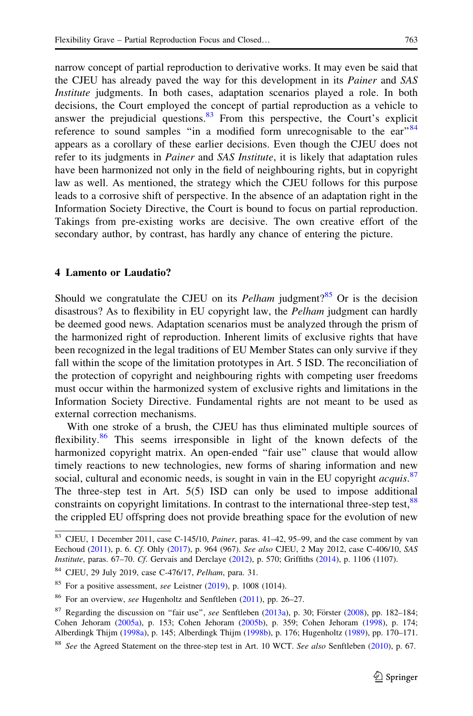narrow concept of partial reproduction to derivative works. It may even be said that the CJEU has already paved the way for this development in its Painer and SAS Institute judgments. In both cases, adaptation scenarios played a role. In both decisions, the Court employed the concept of partial reproduction as a vehicle to answer the prejudicial questions. $83$  From this perspective, the Court's explicit reference to sound samples "in a modified form unrecognisable to the  $ear^{84}$ appears as a corollary of these earlier decisions. Even though the CJEU does not refer to its judgments in *Painer* and SAS Institute, it is likely that adaptation rules have been harmonized not only in the field of neighbouring rights, but in copyright law as well. As mentioned, the strategy which the CJEU follows for this purpose leads to a corrosive shift of perspective. In the absence of an adaptation right in the Information Society Directive, the Court is bound to focus on partial reproduction. Takings from pre-existing works are decisive. The own creative effort of the secondary author, by contrast, has hardly any chance of entering the picture.

#### 4 Lamento or Laudatio?

Should we congratulate the CJEU on its *Pelham* judgment?<sup>85</sup> Or is the decision disastrous? As to flexibility in EU copyright law, the *Pelham* judgment can hardly be deemed good news. Adaptation scenarios must be analyzed through the prism of the harmonized right of reproduction. Inherent limits of exclusive rights that have been recognized in the legal traditions of EU Member States can only survive if they fall within the scope of the limitation prototypes in Art. 5 ISD. The reconciliation of the protection of copyright and neighbouring rights with competing user freedoms must occur within the harmonized system of exclusive rights and limitations in the Information Society Directive. Fundamental rights are not meant to be used as external correction mechanisms.

With one stroke of a brush, the CJEU has thus eliminated multiple sources of flexibility.<sup>86</sup> This seems irresponsible in light of the known defects of the harmonized copyright matrix. An open-ended "fair use" clause that would allow timely reactions to new technologies, new forms of sharing information and new social, cultural and economic needs, is sought in vain in the EU copyright acquis.<sup>87</sup> The three-step test in Art. 5(5) ISD can only be used to impose additional constraints on copyright limitations. In contrast to the international three-step test,<sup>88</sup> the crippled EU offspring does not provide breathing space for the evolution of new

 $83$  CJEU, 1 December 2011, case C-145/10, *Painer*, paras. 41–42, 95–99, and the case comment by van Eechoud [\(2011](#page-19-0)), p. 6. Cf. Ohly [\(2017](#page-18-0)), p. 964 (967). See also CJEU, 2 May 2012, case C-406/10, SAS Institute, paras. 67–70. Cf. Gervais and Derclaye ([2012\)](#page-18-0), p. 570; Griffiths [\(2014](#page-18-0)), p. 1106 (1107).

<sup>84</sup> CJEU, 29 July 2019, case C-476/17, Pelham, para. 31.

 $85$  For a positive assessment, see Leistner [\(2019\)](#page-18-0), p. 1008 (1014).

<sup>86</sup> For an overview, see Hugenholtz and Senftleben [\(2011](#page-18-0)), pp. 26–27.

<sup>&</sup>lt;sup>87</sup> Regarding the discussion on "fair use", see Senftleben [\(2013a\)](#page-19-0), p. 30; Förster [\(2008](#page-18-0)), pp. 182-184; Cohen Jehoram ([2005a\)](#page-18-0), p. 153; Cohen Jehoram [\(2005b](#page-18-0)), p. 359; Cohen Jehoram ([1998\)](#page-17-0), p. 174; Alberdingk Thijm [\(1998a\)](#page-17-0), p. 145; Alberdingk Thijm [\(1998b\)](#page-17-0), p. 176; Hugenholtz [\(1989](#page-18-0)), pp. 170–171.

<sup>&</sup>lt;sup>88</sup> See the Agreed Statement on the three-step test in Art. 10 WCT. See also Senftleben ([2010\)](#page-19-0), p. 67.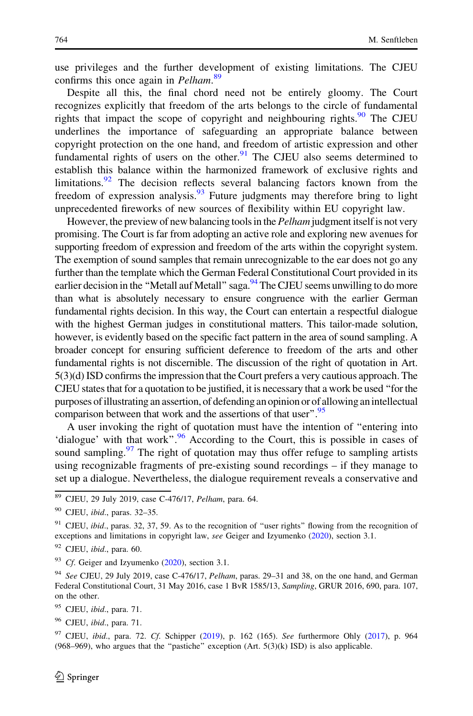use privileges and the further development of existing limitations. The CJEU confirms this once again in Pelham.<sup>89</sup>

Despite all this, the final chord need not be entirely gloomy. The Court recognizes explicitly that freedom of the arts belongs to the circle of fundamental rights that impact the scope of copyright and neighbouring rights. $90$  The CJEU underlines the importance of safeguarding an appropriate balance between copyright protection on the one hand, and freedom of artistic expression and other fundamental rights of users on the other. $91$  The CJEU also seems determined to establish this balance within the harmonized framework of exclusive rights and limitations. <sup>92</sup> The decision reflects several balancing factors known from the freedom of expression analysis.  $\frac{93}{93}$  Future judgments may therefore bring to light unprecedented fireworks of new sources of flexibility within EU copyright law.

However, the preview of new balancing tools in the *Pelham* judgment itself is not very promising. The Court is far from adopting an active role and exploring new avenues for supporting freedom of expression and freedom of the arts within the copyright system. The exemption of sound samples that remain unrecognizable to the ear does not go any further than the template which the German Federal Constitutional Court provided in its earlier decision in the "Metall auf Metall" saga. $^{94}$ The CJEU seems unwilling to do more than what is absolutely necessary to ensure congruence with the earlier German fundamental rights decision. In this way, the Court can entertain a respectful dialogue with the highest German judges in constitutional matters. This tailor-made solution, however, is evidently based on the specific fact pattern in the area of sound sampling. A broader concept for ensuring sufficient deference to freedom of the arts and other fundamental rights is not discernible. The discussion of the right of quotation in Art. 5(3)(d) ISD confirms the impression that the Court prefers a very cautious approach. The CJEU states that for a quotation to be justified, it is necessary that a work be used ''for the purposes ofillustrating an assertion, of defending an opinion or of allowing anintellectual comparison between that work and the assertions of that user".<sup>95</sup>

A user invoking the right of quotation must have the intention of ''entering into 'dialogue' with that work".<sup>96</sup> According to the Court, this is possible in cases of sound sampling.<sup>97</sup> The right of quotation may thus offer refuge to sampling artists using recognizable fragments of pre-existing sound recordings – if they manage to set up a dialogue. Nevertheless, the dialogue requirement reveals a conservative and

- 95 CJEU, ibid., para. 71.
- $96$  CJEU, *ibid.*, para. 71.

<sup>89</sup> CJEU, 29 July 2019, case C-476/17, Pelham, para. 64.

 $90$  CJEU, *ibid.*, paras. 32-35.

 $91$  CJEU, *ibid.*, paras. 32, 37, 59. As to the recognition of "user rights" flowing from the recognition of exceptions and limitations in copyright law, see Geiger and Izyumenko ([2020](#page-18-0)), section 3.1.

 $92$  CJEU, *ibid.*, para. 60.

 $93$  Cf. Geiger and Izyumenko ([2020\)](#page-18-0), section 3.1.

 $94$  See CJEU, 29 July 2019, case C-476/17, Pelham, paras. 29–31 and 38, on the one hand, and German Federal Constitutional Court, 31 May 2016, case 1 BvR 1585/13, Sampling, GRUR 2016, 690, para. 107, on the other.

 $97$  CJEU, *ibid.*, para. 72. Cf. Schipper ([2019](#page-18-0)), p. 162 (165). See furthermore Ohly ([2017\)](#page-18-0), p. 964  $(968–969)$ , who argues that the "pastiche" exception  $(Art. 5(3)(k)$  ISD) is also applicable.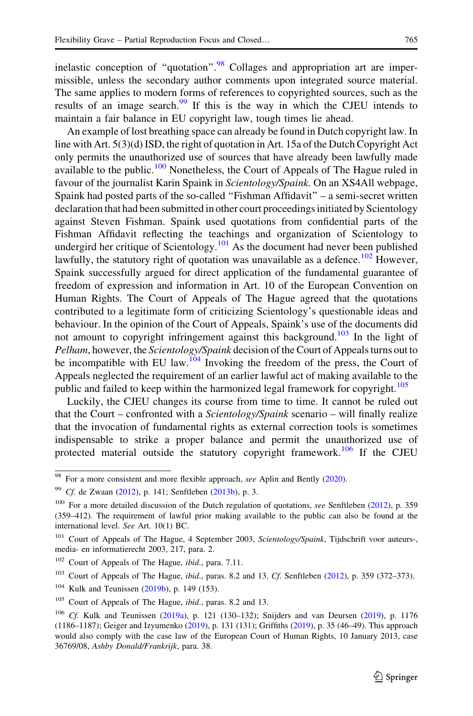inelastic conception of "quotation". $98$  Collages and appropriation art are impermissible, unless the secondary author comments upon integrated source material. The same applies to modern forms of references to copyrighted sources, such as the results of an image search.<sup>99</sup> If this is the way in which the CJEU intends to maintain a fair balance in EU copyright law, tough times lie ahead.

An example of lost breathing space can already be found in Dutch copyright law. In line with Art. 5(3)(d) ISD, the right of quotation in Art. 15a of the Dutch Copyright Act only permits the unauthorized use of sources that have already been lawfully made available to the public.<sup>100</sup> Nonetheless, the Court of Appeals of The Hague ruled in favour of the journalist Karin Spaink in *Scientology/Spaink*. On an XS4All webpage, Spaink had posted parts of the so-called ''Fishman Affidavit'' – a semi-secret written declaration that had been submitted in other court proceedings initiated by Scientology against Steven Fishman. Spaink used quotations from confidential parts of the Fishman Affidavit reflecting the teachings and organization of Scientology to undergird her critique of Scientology.<sup>101</sup> As the document had never been published lawfully, the statutory right of quotation was unavailable as a defence.<sup>102</sup> However, Spaink successfully argued for direct application of the fundamental guarantee of freedom of expression and information in Art. 10 of the European Convention on Human Rights. The Court of Appeals of The Hague agreed that the quotations contributed to a legitimate form of criticizing Scientology's questionable ideas and behaviour. In the opinion of the Court of Appeals, Spaink's use of the documents did not amount to copyright infringement against this background.<sup>103</sup> In the light of Pelham, however, the Scientology/Spaink decision of the Court of Appeals turns out to be incompatible with EU law.<sup>104</sup> Invoking the freedom of the press, the Court of Appeals neglected the requirement of an earlier lawful act of making available to the public and failed to keep within the harmonized legal framework for copyright.<sup>105</sup>

Luckily, the CJEU changes its course from time to time. It cannot be ruled out that the Court – confronted with a Scientology/Spaink scenario – will finally realize that the invocation of fundamental rights as external correction tools is sometimes indispensable to strike a proper balance and permit the unauthorized use of protected material outside the statutory copyright framework.<sup>106</sup> If the CJEU

<sup>&</sup>lt;sup>98</sup> For a more consistent and more flexible approach, see Aplin and Bently [\(2020](#page-17-0)).

<sup>&</sup>lt;sup>99</sup> Cf. de Zwaan [\(2012](#page-18-0)), p. 141; Senftleben [\(2013b](#page-19-0)), p. 3.

<sup>&</sup>lt;sup>100</sup> For a more detailed discussion of the Dutch regulation of quotations, see Senftleben ([2012\)](#page-19-0), p. 359 (359–412). The requirement of lawful prior making available to the public can also be found at the international level. See Art. 10(1) BC.

<sup>&</sup>lt;sup>101</sup> Court of Appeals of The Hague, 4 September 2003, Scientology/Spaink, Tijdschrift voor auteurs-, media- en informatierecht 2003, 217, para. 2.

<sup>&</sup>lt;sup>102</sup> Court of Appeals of The Hague, *ibid.*, para. 7.11.

 $103$  Court of Appeals of The Hague, *ibid.*, paras. 8.2 and 13. Cf. Senftleben ([2012\)](#page-19-0), p. 359 (372–373).

<sup>&</sup>lt;sup>104</sup> Kulk and Teunissen [\(2019b](#page-18-0)), p. 149 (153).

<sup>&</sup>lt;sup>105</sup> Court of Appeals of The Hague, *ibid.*, paras. 8.2 and 13.

<sup>&</sup>lt;sup>106</sup> Cf. Kulk and Teunissen [\(2019a\)](#page-18-0), p. 121 (130–132); Snijders and van Deursen [\(2019](#page-19-0)), p. 1176 (1186–1187); Geiger and Izyumenko ([2019](#page-18-0)), p. 131 (131); Griffiths ([2019\)](#page-18-0), p. 35 (46–49). This approach would also comply with the case law of the European Court of Human Rights, 10 January 2013, case 36769/08, Ashby Donald/Frankrijk, para. 38.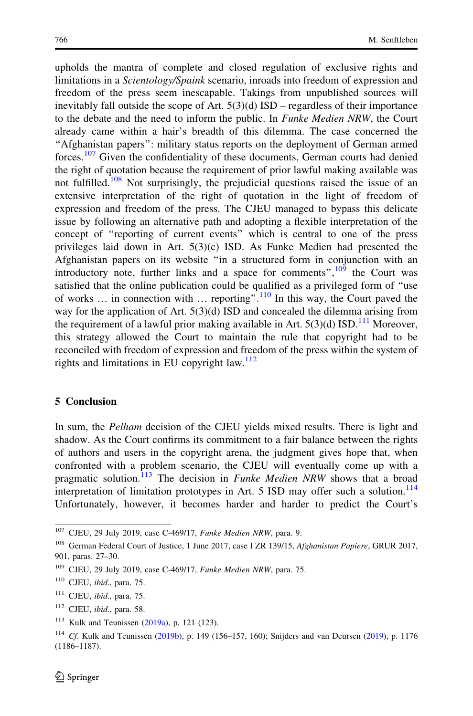upholds the mantra of complete and closed regulation of exclusive rights and limitations in a Scientology/Spaink scenario, inroads into freedom of expression and freedom of the press seem inescapable. Takings from unpublished sources will inevitably fall outside the scope of Art.  $5(3)(d)$  ISD – regardless of their importance to the debate and the need to inform the public. In *Funke Medien NRW*, the Court already came within a hair's breadth of this dilemma. The case concerned the ''Afghanistan papers'': military status reports on the deployment of German armed forces.<sup>107</sup> Given the confidentiality of these documents, German courts had denied the right of quotation because the requirement of prior lawful making available was not fulfilled.<sup>108</sup> Not surprisingly, the prejudicial questions raised the issue of an extensive interpretation of the right of quotation in the light of freedom of expression and freedom of the press. The CJEU managed to bypass this delicate issue by following an alternative path and adopting a flexible interpretation of the concept of ''reporting of current events'' which is central to one of the press privileges laid down in Art.  $5(3)(c)$  ISD. As Funke Medien had presented the Afghanistan papers on its website ''in a structured form in conjunction with an introductory note, further links and a space for comments", $10^6$  the Court was satisfied that the online publication could be qualified as a privileged form of ''use of works  $\ldots$  in connection with  $\ldots$  reporting".<sup>110</sup> In this way, the Court paved the way for the application of Art. 5(3)(d) ISD and concealed the dilemma arising from the requirement of a lawful prior making available in Art.  $5(3)(d)$  ISD.<sup>111</sup> Moreover, this strategy allowed the Court to maintain the rule that copyright had to be reconciled with freedom of expression and freedom of the press within the system of rights and limitations in EU copyright law. $112$ 

#### 5 Conclusion

In sum, the *Pelham* decision of the CJEU yields mixed results. There is light and shadow. As the Court confirms its commitment to a fair balance between the rights of authors and users in the copyright arena, the judgment gives hope that, when confronted with a problem scenario, the CJEU will eventually come up with a pragmatic solution.<sup>113</sup> The decision in *Funke Medien NRW* shows that a broad interpretation of limitation prototypes in Art. 5 ISD may offer such a solution.<sup>114</sup> Unfortunately, however, it becomes harder and harder to predict the Court's

<sup>107</sup> CJEU, 29 July 2019, case C-469/17, Funke Medien NRW, para. 9.

<sup>&</sup>lt;sup>108</sup> German Federal Court of Justice, 1 June 2017, case I ZR 139/15, Afghanistan Papiere, GRUR 2017, 901, paras. 27–30.

 $109$  CJEU, 29 July 2019, case C-469/17, *Funke Medien NRW*, para. 75.

 $110$  CJEU, *ibid.*, para. 75.

 $111$  CJEU, *ibid.*, para. 75.

<sup>112</sup> CJEU, ibid., para. 58.

<sup>113</sup> Kulk and Teunissen [\(2019a\)](#page-18-0), p. 121 (123).

<sup>114</sup> Cf. Kulk and Teunissen ([2019b](#page-18-0)), p. 149 (156–157, 160); Snijders and van Deursen ([2019](#page-19-0)), p. 1176 (1186–1187).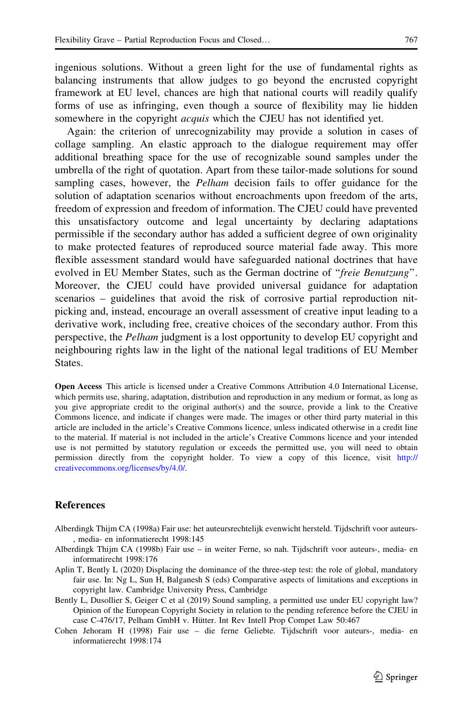<span id="page-17-0"></span>ingenious solutions. Without a green light for the use of fundamental rights as balancing instruments that allow judges to go beyond the encrusted copyright framework at EU level, chances are high that national courts will readily qualify forms of use as infringing, even though a source of flexibility may lie hidden somewhere in the copyright *acquis* which the CJEU has not identified yet.

Again: the criterion of unrecognizability may provide a solution in cases of collage sampling. An elastic approach to the dialogue requirement may offer additional breathing space for the use of recognizable sound samples under the umbrella of the right of quotation. Apart from these tailor-made solutions for sound sampling cases, however, the *Pelham* decision fails to offer guidance for the solution of adaptation scenarios without encroachments upon freedom of the arts, freedom of expression and freedom of information. The CJEU could have prevented this unsatisfactory outcome and legal uncertainty by declaring adaptations permissible if the secondary author has added a sufficient degree of own originality to make protected features of reproduced source material fade away. This more flexible assessment standard would have safeguarded national doctrines that have evolved in EU Member States, such as the German doctrine of "freie Benutzung". Moreover, the CJEU could have provided universal guidance for adaptation scenarios – guidelines that avoid the risk of corrosive partial reproduction nitpicking and, instead, encourage an overall assessment of creative input leading to a derivative work, including free, creative choices of the secondary author. From this perspective, the Pelham judgment is a lost opportunity to develop EU copyright and neighbouring rights law in the light of the national legal traditions of EU Member States.

Open Access This article is licensed under a Creative Commons Attribution 4.0 International License, which permits use, sharing, adaptation, distribution and reproduction in any medium or format, as long as you give appropriate credit to the original author(s) and the source, provide a link to the Creative Commons licence, and indicate if changes were made. The images or other third party material in this article are included in the article's Creative Commons licence, unless indicated otherwise in a credit line to the material. If material is not included in the article's Creative Commons licence and your intended use is not permitted by statutory regulation or exceeds the permitted use, you will need to obtain permission directly from the copyright holder. To view a copy of this licence, visit [http://](http://creativecommons.org/licenses/by/4.0/) [creativecommons.org/licenses/by/4.0/.](http://creativecommons.org/licenses/by/4.0/)

#### References

- Alberdingk Thijm CA (1998a) Fair use: het auteursrechtelijk evenwicht hersteld. Tijdschrift voor auteurs- , media- en informatierecht 1998:145
- Alberdingk Thijm CA (1998b) Fair use in weiter Ferne, so nah. Tijdschrift voor auteurs-, media- en informatirecht 1998:176
- Aplin T, Bently L (2020) Displacing the dominance of the three-step test: the role of global, mandatory fair use. In: Ng L, Sun H, Balganesh S (eds) Comparative aspects of limitations and exceptions in copyright law. Cambridge University Press, Cambridge
- Bently L, Dusollier S, Geiger C et al (2019) Sound sampling, a permitted use under EU copyright law? Opinion of the European Copyright Society in relation to the pending reference before the CJEU in case C-476/17, Pelham GmbH v. Hütter. Int Rev Intell Prop Compet Law 50:467
- Cohen Jehoram H (1998) Fair use die ferne Geliebte. Tijdschrift voor auteurs-, media- en informatierecht 1998:174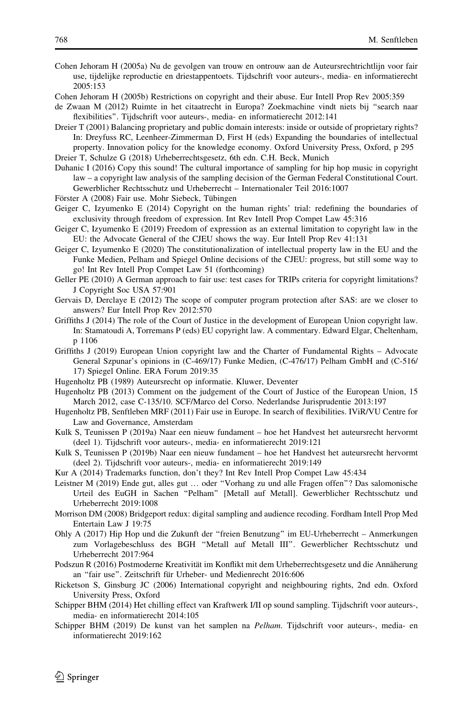<span id="page-18-0"></span>Cohen Jehoram H (2005a) Nu de gevolgen van trouw en ontrouw aan de Auteursrechtrichtlijn voor fair use, tijdelijke reproductie en driestappentoets. Tijdschrift voor auteurs-, media- en informatierecht 2005:153

- Cohen Jehoram H (2005b) Restrictions on copyright and their abuse. Eur Intell Prop Rev 2005:359
- de Zwaan M (2012) Ruimte in het citaatrecht in Europa? Zoekmachine vindt niets bij ''search naar flexibilities''. Tijdschrift voor auteurs-, media- en informatierecht 2012:141
- Dreier T (2001) Balancing proprietary and public domain interests: inside or outside of proprietary rights? In: Dreyfuss RC, Leenheer-Zimmerman D, First H (eds) Expanding the boundaries of intellectual property. Innovation policy for the knowledge economy. Oxford University Press, Oxford, p 295

Dreier T, Schulze G (2018) Urheberrechtsgesetz, 6th edn. C.H. Beck, Munich

- Duhanic I (2016) Copy this sound! The cultural importance of sampling for hip hop music in copyright law – a copyright law analysis of the sampling decision of the German Federal Constitutional Court. Gewerblicher Rechtsschutz und Urheberrecht – Internationaler Teil 2016:1007
- Förster A (2008) Fair use. Mohr Siebeck, Tübingen
- Geiger C, Izyumenko E (2014) Copyright on the human rights' trial: redefining the boundaries of exclusivity through freedom of expression. Int Rev Intell Prop Compet Law 45:316
- Geiger C, Izyumenko E (2019) Freedom of expression as an external limitation to copyright law in the EU: the Advocate General of the CJEU shows the way. Eur Intell Prop Rev 41:131
- Geiger C, Izyumenko E (2020) The constitutionalization of intellectual property law in the EU and the Funke Medien, Pelham and Spiegel Online decisions of the CJEU: progress, but still some way to go! Int Rev Intell Prop Compet Law 51 (forthcoming)
- Geller PE (2010) A German approach to fair use: test cases for TRIPs criteria for copyright limitations? J Copyright Soc USA 57:901
- Gervais D, Derclaye E (2012) The scope of computer program protection after SAS: are we closer to answers? Eur Intell Prop Rev 2012:570
- Griffiths J (2014) The role of the Court of Justice in the development of European Union copyright law. In: Stamatoudi A, Torremans P (eds) EU copyright law. A commentary. Edward Elgar, Cheltenham, p 1106
- Griffiths J (2019) European Union copyright law and the Charter of Fundamental Rights Advocate General Szpunar's opinions in (C-469/17) Funke Medien, (C-476/17) Pelham GmbH and (C-516/ 17) Spiegel Online. ERA Forum 2019:35
- Hugenholtz PB (1989) Auteursrecht op informatie. Kluwer, Deventer
- Hugenholtz PB (2013) Comment on the judgement of the Court of Justice of the European Union, 15 March 2012, case C-135/10. SCF/Marco del Corso. Nederlandse Jurisprudentie 2013:197
- Hugenholtz PB, Senftleben MRF (2011) Fair use in Europe. In search of flexibilities. IViR/VU Centre for Law and Governance, Amsterdam
- Kulk S, Teunissen P (2019a) Naar een nieuw fundament hoe het Handvest het auteursrecht hervormt (deel 1). Tijdschrift voor auteurs-, media- en informatierecht 2019:121
- Kulk S, Teunissen P (2019b) Naar een nieuw fundament hoe het Handvest het auteursrecht hervormt (deel 2). Tijdschrift voor auteurs-, media- en informatierecht 2019:149
- Kur A (2014) Trademarks function, don't they? Int Rev Intell Prop Compet Law 45:434
- Leistner M (2019) Ende gut, alles gut … oder ''Vorhang zu und alle Fragen offen''? Das salomonische Urteil des EuGH in Sachen ''Pelham'' [Metall auf Metall]. Gewerblicher Rechtsschutz und Urheberrecht 2019:1008
- Morrison DM (2008) Bridgeport redux: digital sampling and audience recoding. Fordham Intell Prop Med Entertain Law J 19:75
- Ohly A (2017) Hip Hop und die Zukunft der ''freien Benutzung'' im EU-Urheberrecht Anmerkungen zum Vorlagebeschluss des BGH ''Metall auf Metall III''. Gewerblicher Rechtsschutz und Urheberrecht 2017:964
- Podszun R (2016) Postmoderne Kreativität im Konflikt mit dem Urheberrechtsgesetz und die Annäherung an "fair use". Zeitschrift für Urheber- und Medienrecht 2016:606

Ricketson S, Ginsburg JC (2006) International copyright and neighbouring rights, 2nd edn. Oxford University Press, Oxford

- Schipper BHM (2014) Het chilling effect van Kraftwerk I/II op sound sampling. Tijdschrift voor auteurs-, media- en informatierecht 2014:105
- Schipper BHM (2019) De kunst van het samplen na Pelham. Tijdschrift voor auteurs-, media- en informatierecht 2019:162